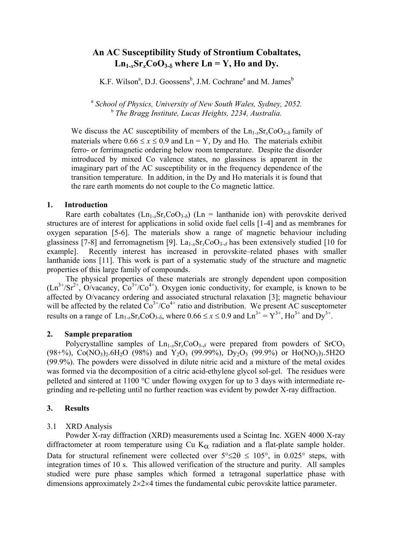# **An AC Susceptibility Study of Strontium Cobaltates,**   $Ln_{1-x}Sr_xCoO_{3-δ}$  where  $Ln = Y$ , Ho and Dy.

K.F. Wilson<sup>a</sup>, D.J. Goossens<sup>b</sup>, J.M. Cochrane<sup>a</sup> and M. James<sup>b</sup>

<sup>a</sup> *School of Physics, University of New South Wales, Sydney, 2052.*  <sup>b</sup> *The Bragg Institute, Lucas Heights, 2234, Australia.* 

We discuss the AC susceptibility of members of the  $Ln_{1-x}Sr_xCoO_{3-\delta}$  family of materials where  $0.66 \le x \le 0.9$  and Ln = Y, Dy and Ho. The materials exhibit ferro- or ferrimagnetic ordering below room temperature. Despite the disorder introduced by mixed Co valence states, no glassiness is apparent in the imaginary part of the AC susceptibility or in the frequency dependence of the transition temperature. In addition, in the Dy and Ho materials it is found that the rare earth moments do not couple to the Co magnetic lattice.

## **1. Introduction**

Rare earth cobaltates  $(Ln_{1-x}Sr_xCoO_{3-\delta})$  (Ln = lanthanide ion) with perovskite derived structures are of interest for applications in solid oxide fuel cells [1-4] and as membranes for oxygen separation [5-6]. The materials show a range of magnetic behaviour including glassiness [7-8] and ferromagnetism [9]. La1-*x*Sr*x*CoO3-δ has been extensively studied [10 for example]. Recently interest has increased in perovskite–related phases with smaller lanthanide ions [11]. This work is part of a systematic study of the structure and magnetic properties of this large family of compounds.

 The physical properties of these materials are strongly dependent upon composition  $(Ln^{3+}/Sr^{2+}, O/vacancy, CO^{3+}/Co^{4+})$ . Oxygen ionic conductivity, for example, is known to be affected by O/vacancy ordering and associated structural relaxation [3]; magnetic behaviour will be affected by the related  $\overline{Co}^{3+}/\overline{Co}^{4+}$  ratio and distribution. We present AC susceptometer results on a range of  $\text{Ln}_{1-x}\text{Sr}_r\text{CoO}_{3-8}$ , where  $0.66 \le x \le 0.9$  and  $\text{Ln}^{3+} = Y^{3+}$ ,  $\text{Ho}^{3+}$  and  $\text{D}y^{3+}$ .

# **2. Sample preparation**

Polycrystalline samples of  $\text{Ln}_{1-x}\text{Sr}_{x}\text{CoO}_{3-\delta}$  were prepared from powders of SrCO<sub>3</sub>  $(98+%)$ , Co(NO<sub>3</sub>)<sub>2</sub>.6H<sub>2</sub>O (98%) and Y<sub>2</sub>O<sub>3</sub> (99.99%), D<sub>V2</sub>O<sub>3</sub> (99.9%) or Ho(NO<sub>3</sub>)<sub>3</sub>.5H<sub>2</sub>O (99.9%). The powders were dissolved in dilute nitric acid and a mixture of the metal oxides was formed via the decomposition of a citric acid-ethylene glycol sol-gel. The residues were pelleted and sintered at 1100 °C under flowing oxygen for up to 3 days with intermediate regrinding and re-pelleting until no further reaction was evident by powder X-ray diffraction.

# **3. Results**

# 3.1 XRD Analysis

 Powder X-ray diffraction (XRD) measurements used a Scintag Inc. XGEN 4000 X-ray diffractometer at room temperature using Cu  $K_{\alpha}$  radiation and a flat-plate sample holder. Data for structural refinement were collected over  $5^{\circ} \le 2\theta \le 105^{\circ}$ , in 0.025° steps, with integration times of 10 s. This allowed verification of the structure and purity. All samples studied were pure phase samples which formed a tetragonal superlattice phase with dimensions approximately 2×2×4 times the fundamental cubic perovskite lattice parameter.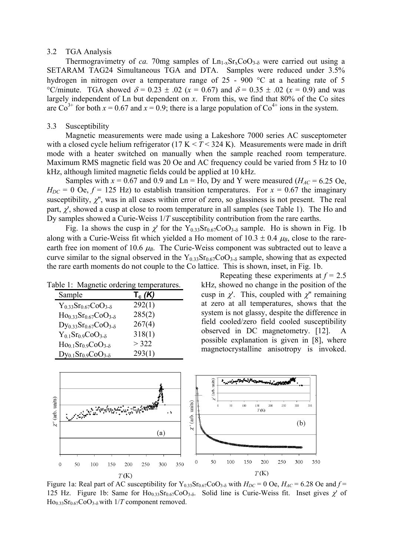### 3.2 TGA Analysis

Thermogravimetry of *ca.* 70mg samples of  $Ln_{1-x}Sr_{x}CoO_{3-\delta}$  were carried out using a SETARAM TAG24 Simultaneous TGA and DTA. Samples were reduced under 3.5% hydrogen in nitrogen over a temperature range of 25 - 900 °C at a heating rate of 5 °C/minute. TGA showed  $\delta = 0.23 \pm .02$  ( $x = 0.67$ ) and  $\delta = 0.35 \pm .02$  ( $x = 0.9$ ) and was largely independent of Ln but dependent on *x*. From this, we find that 80% of the Co sites are  $\text{Co}^{3+}$  for both  $x = 0.67$  and  $x = 0.9$ ; there is a large population of  $\text{Co}^{4+}$  ions in the system.

# 3.3 Susceptibility

Magnetic measurements were made using a Lakeshore 7000 series AC susceptometer with a closed cycle helium refrigerator  $(17 K < T < 324 K)$ . Measurements were made in drift mode with a heater switched on manually when the sample reached room temperature. Maximum RMS magnetic field was 20 Oe and AC frequency could be varied from 5 Hz to 10 kHz, although limited magnetic fields could be applied at 10 kHz.

Samples with  $x = 0.67$  and 0.9 and Ln = Ho, Dy and Y were measured ( $H_{AC} = 6.25$  Oe,  $H_{DC}$  = 0 Oe,  $f$  = 125 Hz) to establish transition temperatures. For  $x$  = 0.67 the imaginary susceptibility,  $\chi$ ", was in all cases within error of zero, so glassiness is not present. The real part,  $\chi'$ , showed a cusp at close to room temperature in all samples (see Table 1). The Ho and Dy samples showed a Curie-Weiss 1/*T* susceptibility contribution from the rare earths.

Fig. 1a shows the cusp in  $\chi'$  for the Y<sub>0.33</sub>Sr<sub>0.67</sub>CoO<sub>3-δ</sub> sample. Ho is shown in Fig. 1b along with a Curie-Weiss fit which yielded a Ho moment of  $10.3 \pm 0.4 \mu$ <sub>*B*</sub>, close to the rareearth free ion moment of 10.6  $\mu$ <sup>B</sup>. The Curie-Weiss component was subtracted out to leave a curve similar to the signal observed in the  $Y_{0.33}Sr_{0.67}CoO_{3.5}$  sample, showing that as expected the rare earth moments do not couple to the Co lattice. This is shown, inset, in Fig. 1b.

| Table 1: Magnetic ordering temperatures. |           |
|------------------------------------------|-----------|
| Sample                                   | $T_c (K)$ |
| $Y_{0.33}Sr_{0.67}CoO_{3-8}$             | 292(1)    |
| $Ho_{0.33}Sr_{0.67}CoO_{3-8}$            | 285(2)    |
| $Dy_{0.33}Sr_{0.67}CoO_{3-\delta}$       | 267(4)    |
| $Y_{0.1}Sr_{0.9}COO_{3.8}$               | 318(1)    |
| $Ho0.1Sr0.9Co3-δ$                        | > 322     |
| $\mathrm{Dy_{0.1}Sr_{0.9}CoO_{3-8}}$     | 293(1)    |

Repeating these experiments at *f* = 2.5 kHz, showed no change in the position of the cusp in  $\chi'$ . This, coupled with  $\chi''$  remaining at zero at all temperatures, shows that the system is not glassy, despite the difference in field cooled/zero field cooled susceptibility observed in DC magnetometry. [12]. A possible explanation is given in [8], where magnetocrystalline anisotropy is invoked.



Figure 1a: Real part of AC susceptibility for  $Y_{0.33}Sr_{0.67}CoO_{3.5}$  with  $H_{DC} = 0$  Oe,  $H_{AC} = 6.28$  Oe and  $f =$ 125 Hz. Figure 1b: Same for  $\text{Ho}_{0.33}\text{Sr}_{0.67}\text{CoO}_{3.5}$ . Solid line is Curie-Weiss fit. Inset gives  $\chi'$  of  $Ho_{0.33}Sr_{0.67}CoO_{3.5}$  with 1/*T* component removed.